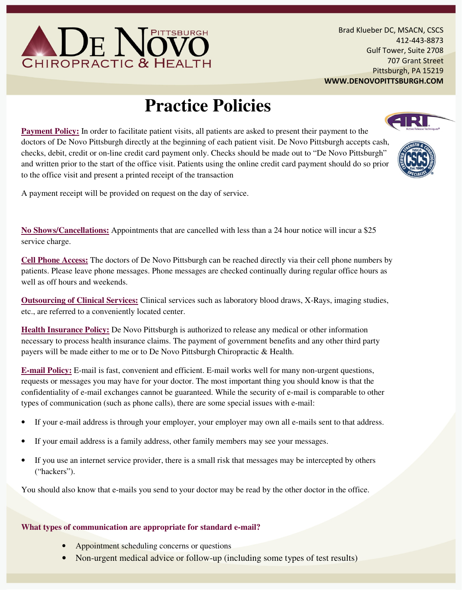

Brad Klueber DC, MSACN, CSCS 412-443-8873 Gulf Tower, Suite 2708 707 Grant Street Pittsburgh, PA 15219 WWW.DENOVOPITTSBURGH.COM

# **Practice Policies**

**Payment Policy:** In order to facilitate patient visits, all patients are asked to present their payment to the doctors of De Novo Pittsburgh directly at the beginning of each patient visit. De Novo Pittsburgh accepts cash, checks, debit, credit or on-line credit card payment only. Checks should be made out to "De Novo Pittsburgh" and written prior to the start of the office visit. Patients using the online credit card payment should do so prior to the office visit and present a printed receipt of the transaction



**No Shows/Cancellations:** Appointments that are cancelled with less than a 24 hour notice will incur a \$25 service charge.

**Cell Phone Access:** The doctors of De Novo Pittsburgh can be reached directly via their cell phone numbers by patients. Please leave phone messages. Phone messages are checked continually during regular office hours as well as off hours and weekends.

**Outsourcing of Clinical Services:** Clinical services such as laboratory blood draws, X-Rays, imaging studies, etc., are referred to a conveniently located center.

**Health Insurance Policy:** De Novo Pittsburgh is authorized to release any medical or other information necessary to process health insurance claims. The payment of government benefits and any other third party payers will be made either to me or to De Novo Pittsburgh Chiropractic & Health.

**E-mail Policy:** E-mail is fast, convenient and efficient. E-mail works well for many non-urgent questions, requests or messages you may have for your doctor. The most important thing you should know is that the confidentiality of e-mail exchanges cannot be guaranteed. While the security of e-mail is comparable to other types of communication (such as phone calls), there are some special issues with e-mail:

- If your e-mail address is through your employer, your employer may own all e-mails sent to that address.
- If your email address is a family address, other family members may see your messages.
- If you use an internet service provider, there is a small risk that messages may be intercepted by others ("hackers").

You should also know that e-mails you send to your doctor may be read by the other doctor in the office.

### **What types of communication are appropriate for standard e-mail?**

- Appointment scheduling concerns or questions
- Non-urgent medical advice or follow-up (including some types of test results)



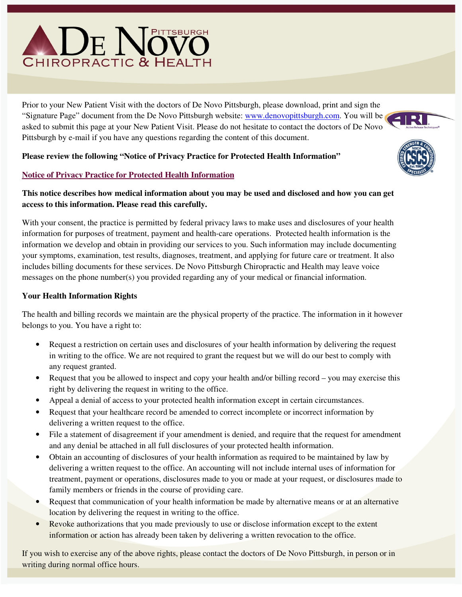# $\mathsf{D}\mathrm{E}$  ) **CHIROPRACTIC & HEALTH**

Prior to your New Patient Visit with the doctors of De Novo Pittsburgh, please download, print and sign the "Signature Page" document from the De Novo Pittsburgh website: www.denovopittsburgh.com. You will be asked to submit this page at your New Patient Visit. Please do not hesitate to contact the doctors of De Novo Pittsburgh by e-mail if you have any questions regarding the content of this document.

## **Please review the following "Notice of Privacy Practice for Protected Health Information"**

# **Notice of Privacy Practice for Protected Health Information**

# **This notice describes how medical information about you may be used and disclosed and how you can get access to this information. Please read this carefully.**

With your consent, the practice is permitted by federal privacy laws to make uses and disclosures of your health information for purposes of treatment, payment and health-care operations. Protected health information is the information we develop and obtain in providing our services to you. Such information may include documenting your symptoms, examination, test results, diagnoses, treatment, and applying for future care or treatment. It also includes billing documents for these services. De Novo Pittsburgh Chiropractic and Health may leave voice messages on the phone number(s) you provided regarding any of your medical or financial information.

# **Your Health Information Rights**

The health and billing records we maintain are the physical property of the practice. The information in it however belongs to you. You have a right to:

- Request a restriction on certain uses and disclosures of your health information by delivering the request in writing to the office. We are not required to grant the request but we will do our best to comply with any request granted.
- Request that you be allowed to inspect and copy your health and/or billing record you may exercise this right by delivering the request in writing to the office.
- Appeal a denial of access to your protected health information except in certain circumstances.
- Request that your healthcare record be amended to correct incomplete or incorrect information by delivering a written request to the office.
- File a statement of disagreement if your amendment is denied, and require that the request for amendment and any denial be attached in all full disclosures of your protected health information.
- Obtain an accounting of disclosures of your health information as required to be maintained by law by delivering a written request to the office. An accounting will not include internal uses of information for treatment, payment or operations, disclosures made to you or made at your request, or disclosures made to family members or friends in the course of providing care.
- Request that communication of your health information be made by alternative means or at an alternative location by delivering the request in writing to the office.
- Revoke authorizations that you made previously to use or disclose information except to the extent information or action has already been taken by delivering a written revocation to the office.

If you wish to exercise any of the above rights, please contact the doctors of De Novo Pittsburgh, in person or in writing during normal office hours.

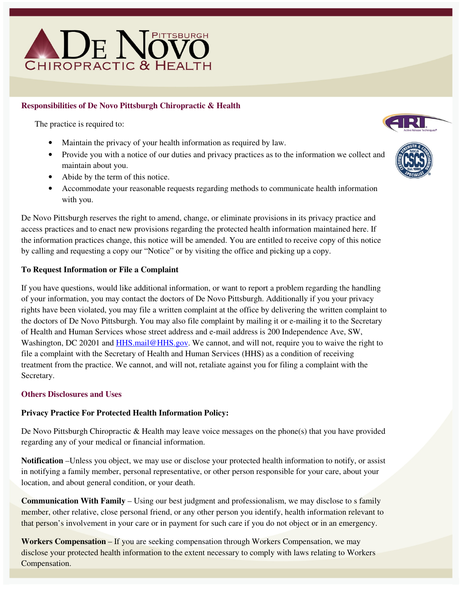# PITTSBURGH De N CHIROPRACTIC & HEALTH

## **Responsibilities of De Novo Pittsburgh Chiropractic & Health**

The practice is required to:

- Maintain the privacy of your health information as required by law.
- Provide you with a notice of our duties and privacy practices as to the information we collect and maintain about you.
- Abide by the term of this notice.
- Accommodate your reasonable requests regarding methods to communicate health information with you.

De Novo Pittsburgh reserves the right to amend, change, or eliminate provisions in its privacy practice and access practices and to enact new provisions regarding the protected health information maintained here. If the information practices change, this notice will be amended. You are entitled to receive copy of this notice by calling and requesting a copy our "Notice" or by visiting the office and picking up a copy.

#### **To Request Information or File a Complaint**

If you have questions, would like additional information, or want to report a problem regarding the handling of your information, you may contact the doctors of De Novo Pittsburgh. Additionally if you your privacy rights have been violated, you may file a written complaint at the office by delivering the written complaint to the doctors of De Novo Pittsburgh. You may also file complaint by mailing it or e-mailing it to the Secretary of Health and Human Services whose street address and e-mail address is 200 Independence Ave, SW, Washington, DC 20201 and HHS.mail@HHS.gov. We cannot, and will not, require you to waive the right to file a complaint with the Secretary of Health and Human Services (HHS) as a condition of receiving treatment from the practice. We cannot, and will not, retaliate against you for filing a complaint with the Secretary.

#### **Others Disclosures and Uses**

### **Privacy Practice For Protected Health Information Policy:**

De Novo Pittsburgh Chiropractic & Health may leave voice messages on the phone(s) that you have provided regarding any of your medical or financial information.

**Notification** –Unless you object, we may use or disclose your protected health information to notify, or assist in notifying a family member, personal representative, or other person responsible for your care, about your location, and about general condition, or your death.

**Communication With Family** – Using our best judgment and professionalism, we may disclose to s family member, other relative, close personal friend, or any other person you identify, health information relevant to that person's involvement in your care or in payment for such care if you do not object or in an emergency.

**Workers Compensation** – If you are seeking compensation through Workers Compensation, we may disclose your protected health information to the extent necessary to comply with laws relating to Workers Compensation.